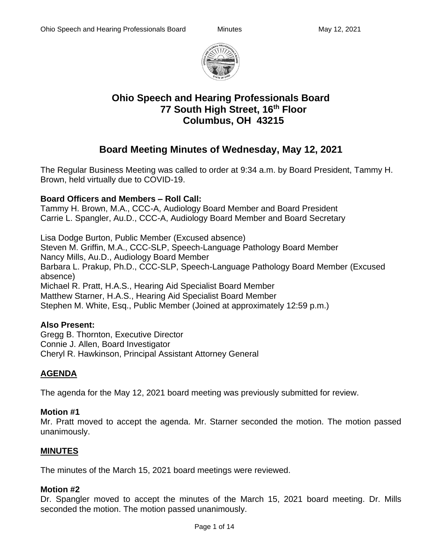

# **Ohio Speech and Hearing Professionals Board 77 South High Street, 16th Floor Columbus, OH 43215**

# **Board Meeting Minutes of Wednesday, May 12, 2021**

The Regular Business Meeting was called to order at 9:34 a.m. by Board President, Tammy H. Brown, held virtually due to COVID-19.

# **Board Officers and Members – Roll Call:**

Tammy H. Brown, M.A., CCC-A, Audiology Board Member and Board President Carrie L. Spangler, Au.D., CCC-A, Audiology Board Member and Board Secretary

Lisa Dodge Burton, Public Member (Excused absence) Steven M. Griffin, M.A., CCC-SLP, Speech-Language Pathology Board Member Nancy Mills, Au.D., Audiology Board Member Barbara L. Prakup, Ph.D., CCC-SLP, Speech-Language Pathology Board Member (Excused absence) Michael R. Pratt, H.A.S., Hearing Aid Specialist Board Member Matthew Starner, H.A.S., Hearing Aid Specialist Board Member Stephen M. White, Esq., Public Member (Joined at approximately 12:59 p.m.)

# **Also Present:**

Gregg B. Thornton, Executive Director Connie J. Allen, Board Investigator Cheryl R. Hawkinson, Principal Assistant Attorney General

# **AGENDA**

The agenda for the May 12, 2021 board meeting was previously submitted for review.

# **Motion #1**

Mr. Pratt moved to accept the agenda. Mr. Starner seconded the motion. The motion passed unanimously.

# **MINUTES**

The minutes of the March 15, 2021 board meetings were reviewed.

# **Motion #2**

Dr. Spangler moved to accept the minutes of the March 15, 2021 board meeting. Dr. Mills seconded the motion. The motion passed unanimously.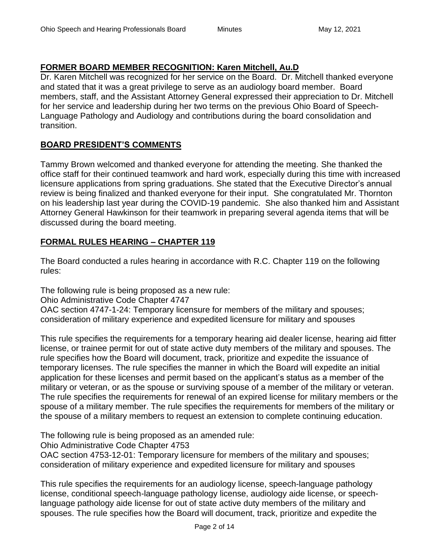# **FORMER BOARD MEMBER RECOGNITION: Karen Mitchell, Au.D**

Dr. Karen Mitchell was recognized for her service on the Board. Dr. Mitchell thanked everyone and stated that it was a great privilege to serve as an audiology board member. Board members, staff, and the Assistant Attorney General expressed their appreciation to Dr. Mitchell for her service and leadership during her two terms on the previous Ohio Board of Speech-Language Pathology and Audiology and contributions during the board consolidation and transition.

# **BOARD PRESIDENT'S COMMENTS**

Tammy Brown welcomed and thanked everyone for attending the meeting. She thanked the office staff for their continued teamwork and hard work, especially during this time with increased licensure applications from spring graduations. She stated that the Executive Director's annual review is being finalized and thanked everyone for their input. She congratulated Mr. Thornton on his leadership last year during the COVID-19 pandemic. She also thanked him and Assistant Attorney General Hawkinson for their teamwork in preparing several agenda items that will be discussed during the board meeting.

# **FORMAL RULES HEARING – CHAPTER 119**

The Board conducted a rules hearing in accordance with R.C. Chapter 119 on the following rules:

The following rule is being proposed as a new rule:

Ohio Administrative Code Chapter 4747

OAC section 4747-1-24: Temporary licensure for members of the military and spouses; consideration of military experience and expedited licensure for military and spouses

This rule specifies the requirements for a temporary hearing aid dealer license, hearing aid fitter license, or trainee permit for out of state active duty members of the military and spouses. The rule specifies how the Board will document, track, prioritize and expedite the issuance of temporary licenses. The rule specifies the manner in which the Board will expedite an initial application for these licenses and permit based on the applicant's status as a member of the military or veteran, or as the spouse or surviving spouse of a member of the military or veteran. The rule specifies the requirements for renewal of an expired license for military members or the spouse of a military member. The rule specifies the requirements for members of the military or the spouse of a military members to request an extension to complete continuing education.

The following rule is being proposed as an amended rule:

Ohio Administrative Code Chapter 4753

OAC section 4753-12-01: Temporary licensure for members of the military and spouses; consideration of military experience and expedited licensure for military and spouses

This rule specifies the requirements for an audiology license, speech-language pathology license, conditional speech-language pathology license, audiology aide license, or speechlanguage pathology aide license for out of state active duty members of the military and spouses. The rule specifies how the Board will document, track, prioritize and expedite the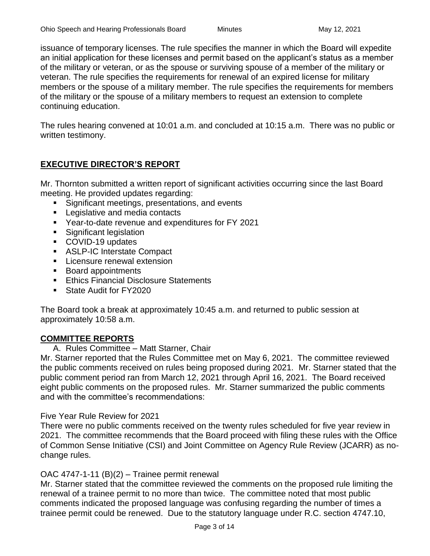issuance of temporary licenses. The rule specifies the manner in which the Board will expedite an initial application for these licenses and permit based on the applicant's status as a member of the military or veteran, or as the spouse or surviving spouse of a member of the military or veteran. The rule specifies the requirements for renewal of an expired license for military members or the spouse of a military member. The rule specifies the requirements for members of the military or the spouse of a military members to request an extension to complete continuing education.

The rules hearing convened at 10:01 a.m. and concluded at 10:15 a.m. There was no public or written testimony.

# **EXECUTIVE DIRECTOR'S REPORT**

Mr. Thornton submitted a written report of significant activities occurring since the last Board meeting. He provided updates regarding:

- Significant meetings, presentations, and events
- Legislative and media contacts
- Year-to-date revenue and expenditures for FY 2021
- **EXECUTE:** Significant legislation
- COVID-19 updates
- ASLP-IC Interstate Compact
- **EXEC** Licensure renewal extension
- Board appointments
- Ethics Financial Disclosure Statements
- State Audit for FY2020

The Board took a break at approximately 10:45 a.m. and returned to public session at approximately 10:58 a.m.

# **COMMITTEE REPORTS**

A. Rules Committee – Matt Starner, Chair

Mr. Starner reported that the Rules Committee met on May 6, 2021. The committee reviewed the public comments received on rules being proposed during 2021. Mr. Starner stated that the public comment period ran from March 12, 2021 through April 16, 2021. The Board received eight public comments on the proposed rules. Mr. Starner summarized the public comments and with the committee's recommendations:

# Five Year Rule Review for 2021

There were no public comments received on the twenty rules scheduled for five year review in 2021. The committee recommends that the Board proceed with filing these rules with the Office of Common Sense Initiative (CSI) and Joint Committee on Agency Rule Review (JCARR) as nochange rules.

# OAC 4747-1-11 (B)(2) – Trainee permit renewal

Mr. Starner stated that the committee reviewed the comments on the proposed rule limiting the renewal of a trainee permit to no more than twice. The committee noted that most public comments indicated the proposed language was confusing regarding the number of times a trainee permit could be renewed. Due to the statutory language under R.C. section 4747.10,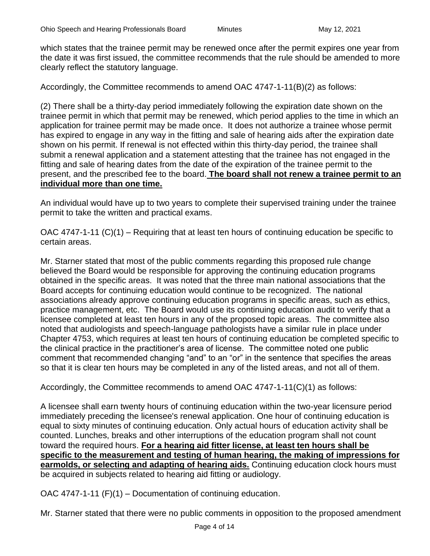which states that the trainee permit may be renewed once after the permit expires one year from the date it was first issued, the committee recommends that the rule should be amended to more clearly reflect the statutory language.

Accordingly, the Committee recommends to amend OAC 4747-1-11(B)(2) as follows:

(2) There shall be a thirty-day period immediately following the expiration date shown on the trainee permit in which that permit may be renewed, which period applies to the time in which an application for trainee permit may be made once. It does not authorize a trainee whose permit has expired to engage in any way in the fitting and sale of hearing aids after the expiration date shown on his permit. If renewal is not effected within this thirty-day period, the trainee shall submit a renewal application and a statement attesting that the trainee has not engaged in the fitting and sale of hearing dates from the date of the expiration of the trainee permit to the present, and the prescribed fee to the board. **The board shall not renew a trainee permit to an individual more than one time.**

An individual would have up to two years to complete their supervised training under the trainee permit to take the written and practical exams.

OAC 4747-1-11 (C)(1) – Requiring that at least ten hours of continuing education be specific to certain areas.

Mr. Starner stated that most of the public comments regarding this proposed rule change believed the Board would be responsible for approving the continuing education programs obtained in the specific areas. It was noted that the three main national associations that the Board accepts for continuing education would continue to be recognized. The national associations already approve continuing education programs in specific areas, such as ethics, practice management, etc. The Board would use its continuing education audit to verify that a licensee completed at least ten hours in any of the proposed topic areas. The committee also noted that audiologists and speech-language pathologists have a similar rule in place under Chapter 4753, which requires at least ten hours of continuing education be completed specific to the clinical practice in the practitioner's area of license. The committee noted one public comment that recommended changing "and" to an "or" in the sentence that specifies the areas so that it is clear ten hours may be completed in any of the listed areas, and not all of them.

Accordingly, the Committee recommends to amend OAC 4747-1-11(C)(1) as follows:

A licensee shall earn twenty hours of continuing education within the two-year licensure period immediately preceding the licensee's renewal application. One hour of continuing education is equal to sixty minutes of continuing education. Only actual hours of education activity shall be counted. Lunches, breaks and other interruptions of the education program shall not count toward the required hours. **For a hearing aid fitter license, at least ten hours shall be specific to the measurement and testing of human hearing, the making of impressions for earmolds, or selecting and adapting of hearing aids.** Continuing education clock hours must be acquired in subjects related to hearing aid fitting or audiology.

OAC 4747-1-11 (F)(1) – Documentation of continuing education.

Mr. Starner stated that there were no public comments in opposition to the proposed amendment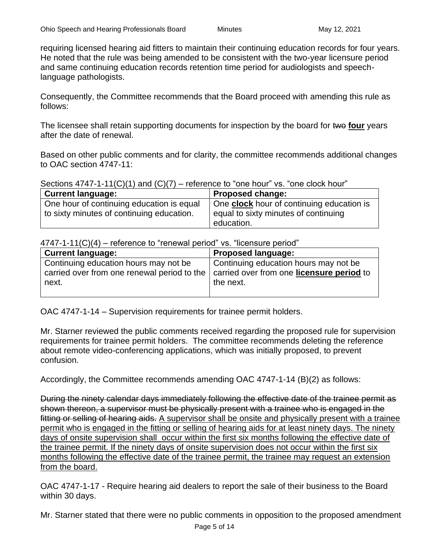requiring licensed hearing aid fitters to maintain their continuing education records for four years. He noted that the rule was being amended to be consistent with the two-year licensure period and same continuing education records retention time period for audiologists and speechlanguage pathologists.

Consequently, the Committee recommends that the Board proceed with amending this rule as follows:

The licensee shall retain supporting documents for inspection by the board for two four years after the date of renewal.

Based on other public comments and for clarity, the committee recommends additional changes to OAC section 4747-11:

Sections  $4747-1-11(C)(1)$  and  $(C)(7)$  – reference to "one hour" vs. "one clock hour"

| <b>Current language:</b>                  | Proposed change:                                 |
|-------------------------------------------|--------------------------------------------------|
| One hour of continuing education is equal | One <b>clock</b> hour of continuing education is |
| to sixty minutes of continuing education. | equal to sixty minutes of continuing             |
|                                           | education.                                       |

 $4747-1-11(C)(4)$  – reference to "renewal period" vs. "licensure period"

| <b>Current language:</b>                                                                       | <b>Proposed language:</b>             |
|------------------------------------------------------------------------------------------------|---------------------------------------|
| Continuing education hours may not be                                                          | Continuing education hours may not be |
| carried over from one renewal period to the   carried over from one <b>licensure period</b> to |                                       |
| next.                                                                                          | the next.                             |
|                                                                                                |                                       |

OAC 4747-1-14 – Supervision requirements for trainee permit holders.

Mr. Starner reviewed the public comments received regarding the proposed rule for supervision requirements for trainee permit holders. The committee recommends deleting the reference about remote video-conferencing applications, which was initially proposed, to prevent confusion.

Accordingly, the Committee recommends amending OAC 4747-1-14 (B)(2) as follows:

During the ninety calendar days immediately following the effective date of the trainee permit as shown thereon, a supervisor must be physically present with a trainee who is engaged in the fitting or selling of hearing aids. A supervisor shall be onsite and physically present with a trainee permit who is engaged in the fitting or selling of hearing aids for at least ninety days. The ninety days of onsite supervision shall occur within the first six months following the effective date of the trainee permit. If the ninety days of onsite supervision does not occur within the first six months following the effective date of the trainee permit, the trainee may request an extension from the board.

OAC 4747-1-17 - Require hearing aid dealers to report the sale of their business to the Board within 30 days.

Mr. Starner stated that there were no public comments in opposition to the proposed amendment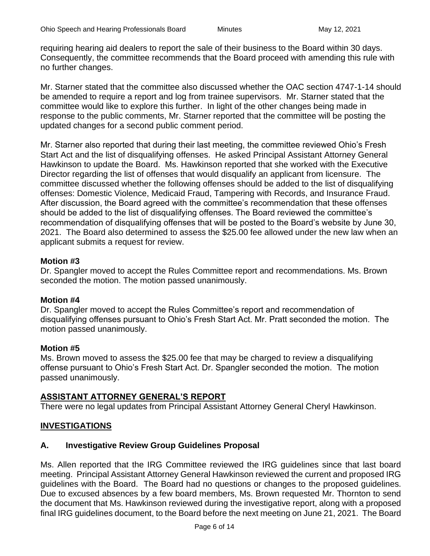requiring hearing aid dealers to report the sale of their business to the Board within 30 days. Consequently, the committee recommends that the Board proceed with amending this rule with no further changes.

Mr. Starner stated that the committee also discussed whether the OAC section 4747-1-14 should be amended to require a report and log from trainee supervisors. Mr. Starner stated that the committee would like to explore this further. In light of the other changes being made in response to the public comments, Mr. Starner reported that the committee will be posting the updated changes for a second public comment period.

Mr. Starner also reported that during their last meeting, the committee reviewed Ohio's Fresh Start Act and the list of disqualifying offenses. He asked Principal Assistant Attorney General Hawkinson to update the Board. Ms. Hawkinson reported that she worked with the Executive Director regarding the list of offenses that would disqualify an applicant from licensure. The committee discussed whether the following offenses should be added to the list of disqualifying offenses: Domestic Violence, Medicaid Fraud, Tampering with Records, and Insurance Fraud. After discussion, the Board agreed with the committee's recommendation that these offenses should be added to the list of disqualifying offenses. The Board reviewed the committee's recommendation of disqualifying offenses that will be posted to the Board's website by June 30, 2021. The Board also determined to assess the \$25.00 fee allowed under the new law when an applicant submits a request for review.

# **Motion #3**

Dr. Spangler moved to accept the Rules Committee report and recommendations. Ms. Brown seconded the motion. The motion passed unanimously.

# **Motion #4**

Dr. Spangler moved to accept the Rules Committee's report and recommendation of disqualifying offenses pursuant to Ohio's Fresh Start Act. Mr. Pratt seconded the motion. The motion passed unanimously.

# **Motion #5**

Ms. Brown moved to assess the \$25.00 fee that may be charged to review a disqualifying offense pursuant to Ohio's Fresh Start Act. Dr. Spangler seconded the motion. The motion passed unanimously.

# **ASSISTANT ATTORNEY GENERAL'S REPORT**

There were no legal updates from Principal Assistant Attorney General Cheryl Hawkinson.

# **INVESTIGATIONS**

# **A. Investigative Review Group Guidelines Proposal**

Ms. Allen reported that the IRG Committee reviewed the IRG guidelines since that last board meeting. Principal Assistant Attorney General Hawkinson reviewed the current and proposed IRG guidelines with the Board. The Board had no questions or changes to the proposed guidelines. Due to excused absences by a few board members, Ms. Brown requested Mr. Thornton to send the document that Ms. Hawkinson reviewed during the investigative report, along with a proposed final IRG guidelines document, to the Board before the next meeting on June 21, 2021. The Board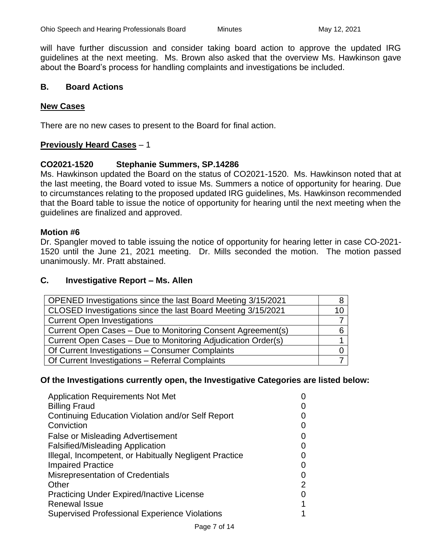will have further discussion and consider taking board action to approve the updated IRG guidelines at the next meeting. Ms. Brown also asked that the overview Ms. Hawkinson gave about the Board's process for handling complaints and investigations be included.

# **B. Board Actions**

# **New Cases**

There are no new cases to present to the Board for final action.

# **Previously Heard Cases** – 1

# **CO2021-1520 Stephanie Summers, SP.14286**

Ms. Hawkinson updated the Board on the status of CO2021-1520. Ms. Hawkinson noted that at the last meeting, the Board voted to issue Ms. Summers a notice of opportunity for hearing. Due to circumstances relating to the proposed updated IRG guidelines, Ms. Hawkinson recommended that the Board table to issue the notice of opportunity for hearing until the next meeting when the guidelines are finalized and approved.

#### **Motion #6**

Dr. Spangler moved to table issuing the notice of opportunity for hearing letter in case CO-2021- 1520 until the June 21, 2021 meeting. Dr. Mills seconded the motion. The motion passed unanimously. Mr. Pratt abstained.

#### **C. Investigative Report – Ms. Allen**

| OPENED Investigations since the last Board Meeting 3/15/2021 |  |
|--------------------------------------------------------------|--|
| CLOSED Investigations since the last Board Meeting 3/15/2021 |  |
| <b>Current Open Investigations</b>                           |  |
| Current Open Cases – Due to Monitoring Consent Agreement(s)  |  |
| Current Open Cases - Due to Monitoring Adjudication Order(s) |  |
| Of Current Investigations - Consumer Complaints              |  |
| Of Current Investigations - Referral Complaints              |  |

# **Of the Investigations currently open, the Investigative Categories are listed below:**

| <b>Application Requirements Not Met</b>                |                   |
|--------------------------------------------------------|-------------------|
| <b>Billing Fraud</b>                                   |                   |
| Continuing Education Violation and/or Self Report      |                   |
| Conviction                                             | $\mathcal{L}$     |
| <b>False or Misleading Advertisement</b>               | $\mathcal{L}$     |
| <b>Falsified/Misleading Application</b>                | 0                 |
| Illegal, Incompetent, or Habitually Negligent Practice | $\mathbf{\Omega}$ |
| <b>Impaired Practice</b>                               | 0                 |
| Misrepresentation of Credentials                       | 0                 |
| Other                                                  | 2                 |
| <b>Practicing Under Expired/Inactive License</b>       | 0                 |
| <b>Renewal Issue</b>                                   | 1                 |
| <b>Supervised Professional Experience Violations</b>   |                   |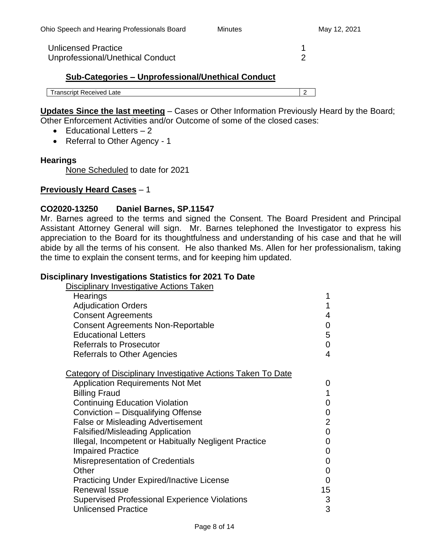Unlicensed Practice 1 Unprofessional/Unethical Conduct 2

# **Sub-Categories – Unprofessional/Unethical Conduct**

Transcript Received Late 2

**Updates Since the last meeting** – Cases or Other Information Previously Heard by the Board; Other Enforcement Activities and/or Outcome of some of the closed cases:

- Educational Letters 2
- Referral to Other Agency 1

# **Hearings**

None Scheduled to date for 2021

#### **Previously Heard Cases** – 1

#### **CO2020-13250 Daniel Barnes, SP.11547**

Mr. Barnes agreed to the terms and signed the Consent. The Board President and Principal Assistant Attorney General will sign. Mr. Barnes telephoned the Investigator to express his appreciation to the Board for its thoughtfulness and understanding of his case and that he will abide by all the terms of his consent. He also thanked Ms. Allen for her professionalism, taking the time to explain the consent terms, and for keeping him updated.

#### **Disciplinary Investigations Statistics for 2021 To Date**

| <b>Disciplinary Investigative Actions Taken</b>                     |                |
|---------------------------------------------------------------------|----------------|
| Hearings                                                            | 1              |
| <b>Adjudication Orders</b>                                          | $\mathbf{1}$   |
| <b>Consent Agreements</b>                                           | 4              |
| <b>Consent Agreements Non-Reportable</b>                            | 0              |
| <b>Educational Letters</b>                                          | 5              |
| <b>Referrals to Prosecutor</b>                                      | 0              |
| <b>Referrals to Other Agencies</b>                                  | $\overline{4}$ |
| <b>Category of Disciplinary Investigative Actions Taken To Date</b> |                |
| <b>Application Requirements Not Met</b>                             | 0              |
| <b>Billing Fraud</b>                                                | $\mathbf{1}$   |
| <b>Continuing Education Violation</b>                               | 0              |
| Conviction - Disqualifying Offense                                  | $\mathbf 0$    |
| <b>False or Misleading Advertisement</b>                            | $\overline{2}$ |
| <b>Falsified/Misleading Application</b>                             | $\mathbf 0$    |
| Illegal, Incompetent or Habitually Negligent Practice               | 0              |
| <b>Impaired Practice</b>                                            | 0              |
| <b>Misrepresentation of Credentials</b>                             | 0              |
| Other                                                               | $\mathbf 0$    |
| <b>Practicing Under Expired/Inactive License</b>                    | $\mathbf 0$    |
| <b>Renewal Issue</b>                                                | 15             |
| <b>Supervised Professional Experience Violations</b>                | 3              |
| <b>Unlicensed Practice</b>                                          | 3              |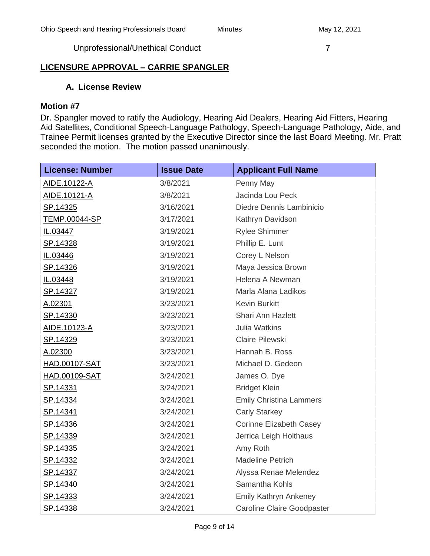Unprofessional/Unethical Conduct 7 7

# **LICENSURE APPROVAL – CARRIE SPANGLER**

# **A. License Review**

# **Motion #7**

Dr. Spangler moved to ratify the Audiology, Hearing Aid Dealers, Hearing Aid Fitters, Hearing Aid Satellites, Conditional Speech-Language Pathology, Speech-Language Pathology, Aide, and Trainee Permit licenses granted by the Executive Director since the last Board Meeting. Mr. Pratt seconded the motion. The motion passed unanimously.

| <b>License: Number</b> | <b>Issue Date</b> | <b>Applicant Full Name</b>        |  |
|------------------------|-------------------|-----------------------------------|--|
| AIDE.10122-A           | 3/8/2021          | Penny May                         |  |
| <u>AIDE.10121-A</u>    | 3/8/2021          | Jacinda Lou Peck                  |  |
| SP.14325               | 3/16/2021         | Diedre Dennis Lambinicio          |  |
| <b>TEMP.00044-SP</b>   | 3/17/2021         | Kathryn Davidson                  |  |
| IL.03447               | 3/19/2021         | <b>Rylee Shimmer</b>              |  |
| SP.14328               | 3/19/2021         | Phillip E. Lunt                   |  |
| IL.03446               | 3/19/2021         | Corey L Nelson                    |  |
| SP.14326               | 3/19/2021         | Maya Jessica Brown                |  |
| IL.03448               | 3/19/2021         | Helena A Newman                   |  |
| <u>SP.14327</u>        | 3/19/2021         | Marla Alana Ladikos               |  |
| A.02301                | 3/23/2021         | <b>Kevin Burkitt</b>              |  |
| SP.14330               | 3/23/2021         | <b>Shari Ann Hazlett</b>          |  |
| AIDE.10123-A           | 3/23/2021         | <b>Julia Watkins</b>              |  |
| SP.14329               | 3/23/2021         | Claire Pilewski                   |  |
| A.02300                | 3/23/2021         | Hannah B. Ross                    |  |
| <b>HAD.00107-SAT</b>   | 3/23/2021         | Michael D. Gedeon                 |  |
| <b>HAD.00109-SAT</b>   | 3/24/2021         | James O. Dye                      |  |
| SP.14331               | 3/24/2021         | <b>Bridget Klein</b>              |  |
| <u>SP.14334</u>        | 3/24/2021         | <b>Emily Christina Lammers</b>    |  |
| SP.14341               | 3/24/2021         | <b>Carly Starkey</b>              |  |
| SP.14336               | 3/24/2021         | <b>Corinne Elizabeth Casey</b>    |  |
| <u>SP.14339</u>        | 3/24/2021         | Jerrica Leigh Holthaus            |  |
| <u>SP.14335</u>        | 3/24/2021         | Amy Roth                          |  |
| <u>SP.14332</u>        | 3/24/2021         | <b>Madeline Petrich</b>           |  |
| SP.14337               | 3/24/2021         | Alyssa Renae Melendez             |  |
| <u>SP.14340</u>        | 3/24/2021         | Samantha Kohls                    |  |
| <u>SP.14333</u>        | 3/24/2021         | <b>Emily Kathryn Ankeney</b>      |  |
| SP.14338               | 3/24/2021         | <b>Caroline Claire Goodpaster</b> |  |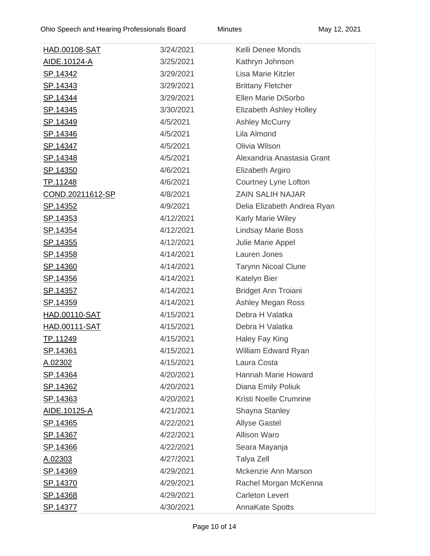| <u>HAD.00108-SAT</u>    | 3/24/2021 | Kelli Denee Monds              |  |
|-------------------------|-----------|--------------------------------|--|
| <u>AIDE.10124-A</u>     | 3/25/2021 | Kathryn Johnson                |  |
| <u>SP.14342</u>         | 3/29/2021 | Lisa Marie Kitzler             |  |
| <u>SP.14343</u>         | 3/29/2021 | <b>Brittany Fletcher</b>       |  |
| <u>SP.14344</u>         | 3/29/2021 | Ellen Marie DiSorbo            |  |
| <u>SP.14345</u>         | 3/30/2021 | <b>Elizabeth Ashley Holley</b> |  |
| <u>SP.14349</u>         | 4/5/2021  | <b>Ashley McCurry</b>          |  |
| <u>SP.14346</u>         | 4/5/2021  | Lila Almond                    |  |
| SP.14347                | 4/5/2021  | Olivia Wilson                  |  |
| <u>SP.14348</u>         | 4/5/2021  | Alexandria Anastasia Grant     |  |
| <u>SP.14350</u>         | 4/6/2021  | Elizabeth Argiro               |  |
| TP.11248                | 4/6/2021  | Courtney Lyne Lofton           |  |
| <u>COND.20211612-SP</u> | 4/8/2021  | <b>ZAIN SALIH NAJAR</b>        |  |
| <u>SP.14352</u>         | 4/9/2021  | Delia Elizabeth Andrea Ryan    |  |
| <u>SP.14353</u>         | 4/12/2021 | Karly Marie Wiley              |  |
| <u>SP.14354</u>         | 4/12/2021 | <b>Lindsay Marie Boss</b>      |  |
| <u>SP.14355</u>         | 4/12/2021 | Julie Marie Appel              |  |
| <u>SP.14358</u>         | 4/14/2021 | Lauren Jones                   |  |
| <u>SP.14360</u>         | 4/14/2021 | <b>Tarynn Nicoal Clune</b>     |  |
| <u>SP.14356</u>         | 4/14/2021 | Katelyn Bier                   |  |
| <u>SP.14357</u>         | 4/14/2021 | <b>Bridget Ann Troiani</b>     |  |
| <u>SP.14359</u>         | 4/14/2021 | Ashley Megan Ross              |  |
| HAD.00110-SAT           | 4/15/2021 | Debra H Valatka                |  |
| <u>HAD.00111-SAT</u>    | 4/15/2021 | Debra H Valatka                |  |
| <u>TP.11249</u>         | 4/15/2021 | Haley Fay King                 |  |
| <u>SP.14361</u>         | 4/15/2021 | William Edward Ryan            |  |
| A.02302                 | 4/15/2021 | Laura Costa                    |  |
| <u>SP.14364</u>         | 4/20/2021 | Hannah Marie Howard            |  |
| <u>SP.14362</u>         | 4/20/2021 | Diana Emily Poliuk             |  |
| <u>SP.14363</u>         | 4/20/2021 | Kristi Noelle Crumrine         |  |
| AIDE.10125-A            | 4/21/2021 | Shayna Stanley                 |  |
| <u>SP.14365</u>         | 4/22/2021 | <b>Allyse Gastel</b>           |  |
| <u>SP.14367</u>         | 4/22/2021 | <b>Allison Waro</b>            |  |
| <u>SP.14366</u>         | 4/22/2021 | Seara Mayanja                  |  |
| <u>A.02303</u>          | 4/27/2021 | Talya Zell                     |  |
| <u>SP.14369</u>         | 4/29/2021 | Mckenzie Ann Marson            |  |
| <u>SP.14370</u>         | 4/29/2021 | Rachel Morgan McKenna          |  |
| <u>SP.14368</u>         | 4/29/2021 | <b>Carleton Levert</b>         |  |
| <u>SP.14377</u>         | 4/30/2021 | <b>AnnaKate Spotts</b>         |  |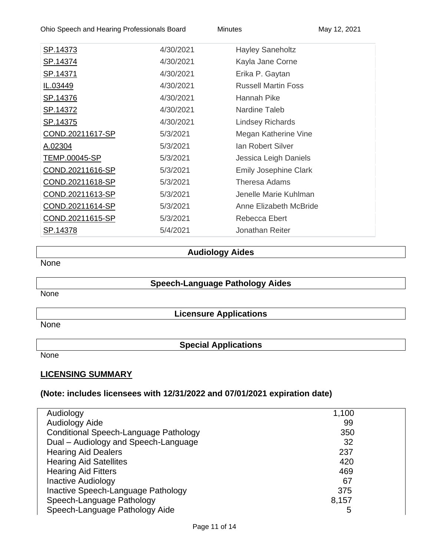Ohio Speech and Hearing Professionals Board Minutes May 12, 2021

| SP.14373         | 4/30/2021 | <b>Hayley Saneholtz</b>      |
|------------------|-----------|------------------------------|
| SP.14374         | 4/30/2021 | Kayla Jane Corne             |
| <u>SP.14371</u>  | 4/30/2021 | Erika P. Gaytan              |
| IL.03449         | 4/30/2021 | <b>Russell Martin Foss</b>   |
| <u>SP.14376</u>  | 4/30/2021 | Hannah Pike                  |
| <u>SP.14372</u>  | 4/30/2021 | Nardine Taleb                |
| <u>SP.14375</u>  | 4/30/2021 | <b>Lindsey Richards</b>      |
| COND.20211617-SP | 5/3/2021  | Megan Katherine Vine         |
| A.02304          | 5/3/2021  | <b>Ian Robert Silver</b>     |
| TEMP.00045-SP    | 5/3/2021  | Jessica Leigh Daniels        |
| COND.20211616-SP | 5/3/2021  | <b>Emily Josephine Clark</b> |
| COND.20211618-SP | 5/3/2021  | Theresa Adams                |
| COND.20211613-SP | 5/3/2021  | Jenelle Marie Kuhlman        |
| COND.20211614-SP | 5/3/2021  | Anne Elizabeth McBride       |
| COND.20211615-SP | 5/3/2021  | Rebecca Ebert                |
| SP.14378         | 5/4/2021  | Jonathan Reiter              |
|                  |           |                              |

# **Audiology Aides**

None

# **Speech-Language Pathology Aides**

None

**Licensure Applications**

None

**Special Applications**

None

# **LICENSING SUMMARY**

# **(Note: includes licensees with 12/31/2022 and 07/01/2021 expiration date)**

| Audiology                             | 1,100 |
|---------------------------------------|-------|
| Audiology Aide                        | 99    |
| Conditional Speech-Language Pathology | 350   |
| Dual - Audiology and Speech-Language  | 32    |
| <b>Hearing Aid Dealers</b>            | 237   |
| <b>Hearing Aid Satellites</b>         | 420   |
| <b>Hearing Aid Fitters</b>            | 469   |
| <b>Inactive Audiology</b>             | 67    |
| Inactive Speech-Language Pathology    | 375   |
| Speech-Language Pathology             | 8,157 |
| Speech-Language Pathology Aide        | 5     |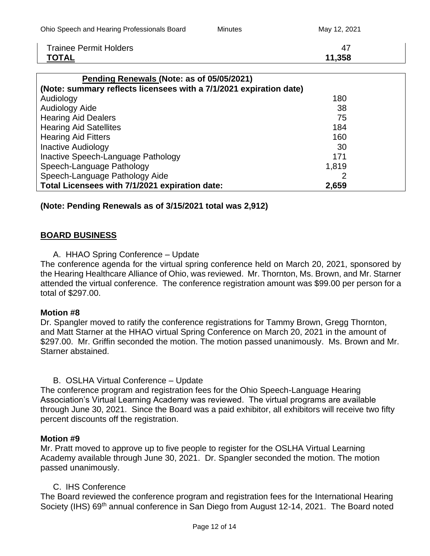| Ohio Speech and Hearing Professionals Board | Minutes | May 12, 2021 |
|---------------------------------------------|---------|--------------|
| <b>Trainee Permit Holders</b>               |         | 47           |

**TOTAL 11,358**

| Pending Renewals (Note: as of 05/05/2021)                          |       |  |
|--------------------------------------------------------------------|-------|--|
| (Note: summary reflects licensees with a 7/1/2021 expiration date) |       |  |
| Audiology                                                          | 180   |  |
| <b>Audiology Aide</b>                                              | 38    |  |
| <b>Hearing Aid Dealers</b>                                         | 75    |  |
| <b>Hearing Aid Satellites</b>                                      | 184   |  |
| <b>Hearing Aid Fitters</b>                                         | 160   |  |
| <b>Inactive Audiology</b>                                          | 30    |  |
| Inactive Speech-Language Pathology                                 | 171   |  |
| Speech-Language Pathology                                          | 1,819 |  |
| Speech-Language Pathology Aide                                     |       |  |
| Total Licensees with 7/1/2021 expiration date:                     | 2,659 |  |

# **(Note: Pending Renewals as of 3/15/2021 total was 2,912)**

# **BOARD BUSINESS**

A. HHAO Spring Conference – Update

The conference agenda for the virtual spring conference held on March 20, 2021, sponsored by the Hearing Healthcare Alliance of Ohio, was reviewed. Mr. Thornton, Ms. Brown, and Mr. Starner attended the virtual conference. The conference registration amount was \$99.00 per person for a total of \$297.00.

# **Motion #8**

Dr. Spangler moved to ratify the conference registrations for Tammy Brown, Gregg Thornton, and Matt Starner at the HHAO virtual Spring Conference on March 20, 2021 in the amount of \$297.00. Mr. Griffin seconded the motion. The motion passed unanimously. Ms. Brown and Mr. Starner abstained.

# B. OSLHA Virtual Conference – Update

The conference program and registration fees for the Ohio Speech-Language Hearing Association's Virtual Learning Academy was reviewed. The virtual programs are available through June 30, 2021. Since the Board was a paid exhibitor, all exhibitors will receive two fifty percent discounts off the registration.

# **Motion #9**

Mr. Pratt moved to approve up to five people to register for the OSLHA Virtual Learning Academy available through June 30, 2021. Dr. Spangler seconded the motion. The motion passed unanimously.

# C. IHS Conference

The Board reviewed the conference program and registration fees for the International Hearing Society (IHS) 69<sup>th</sup> annual conference in San Diego from August 12-14, 2021. The Board noted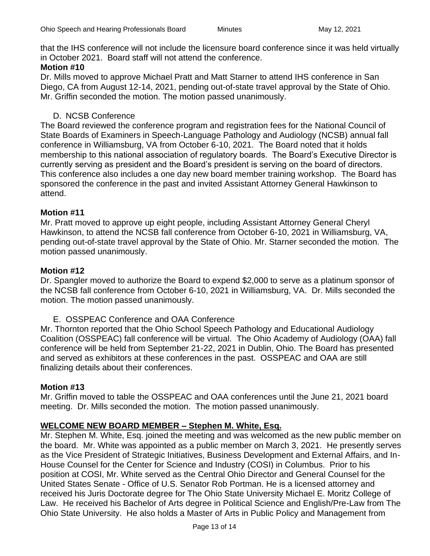that the IHS conference will not include the licensure board conference since it was held virtually in October 2021. Board staff will not attend the conference.

# **Motion #10**

Dr. Mills moved to approve Michael Pratt and Matt Starner to attend IHS conference in San Diego, CA from August 12-14, 2021, pending out-of-state travel approval by the State of Ohio. Mr. Griffin seconded the motion. The motion passed unanimously.

# D. NCSB Conference

The Board reviewed the conference program and registration fees for the National Council of State Boards of Examiners in Speech-Language Pathology and Audiology (NCSB) annual fall conference in Williamsburg, VA from October 6-10, 2021. The Board noted that it holds membership to this national association of regulatory boards. The Board's Executive Director is currently serving as president and the Board's president is serving on the board of directors. This conference also includes a one day new board member training workshop. The Board has sponsored the conference in the past and invited Assistant Attorney General Hawkinson to attend.

# **Motion #11**

Mr. Pratt moved to approve up eight people, including Assistant Attorney General Cheryl Hawkinson, to attend the NCSB fall conference from October 6-10, 2021 in Williamsburg, VA, pending out-of-state travel approval by the State of Ohio. Mr. Starner seconded the motion. The motion passed unanimously.

# **Motion #12**

Dr. Spangler moved to authorize the Board to expend \$2,000 to serve as a platinum sponsor of the NCSB fall conference from October 6-10, 2021 in Williamsburg, VA. Dr. Mills seconded the motion. The motion passed unanimously.

E. OSSPEAC Conference and OAA Conference

Mr. Thornton reported that the Ohio School Speech Pathology and Educational Audiology Coalition (OSSPEAC) fall conference will be virtual. The Ohio Academy of Audiology (OAA) fall conference will be held from September 21-22, 2021 in Dublin, Ohio. The Board has presented and served as exhibitors at these conferences in the past. OSSPEAC and OAA are still finalizing details about their conferences.

# **Motion #13**

Mr. Griffin moved to table the OSSPEAC and OAA conferences until the June 21, 2021 board meeting. Dr. Mills seconded the motion. The motion passed unanimously.

# **WELCOME NEW BOARD MEMBER – Stephen M. White, Esq.**

Mr. Stephen M. White, Esq. joined the meeting and was welcomed as the new public member on the board. Mr. White was appointed as a public member on March 3, 2021. He presently serves as the Vice President of Strategic Initiatives, Business Development and External Affairs, and In-House Counsel for the Center for Science and Industry (COSI) in Columbus. Prior to his position at COSI, Mr. White served as the Central Ohio Director and General Counsel for the United States Senate - Office of U.S. Senator Rob Portman. He is a licensed attorney and received his Juris Doctorate degree for The Ohio State University Michael E. Moritz College of Law. He received his Bachelor of Arts degree in Political Science and English/Pre-Law from The Ohio State University. He also holds a Master of Arts in Public Policy and Management from